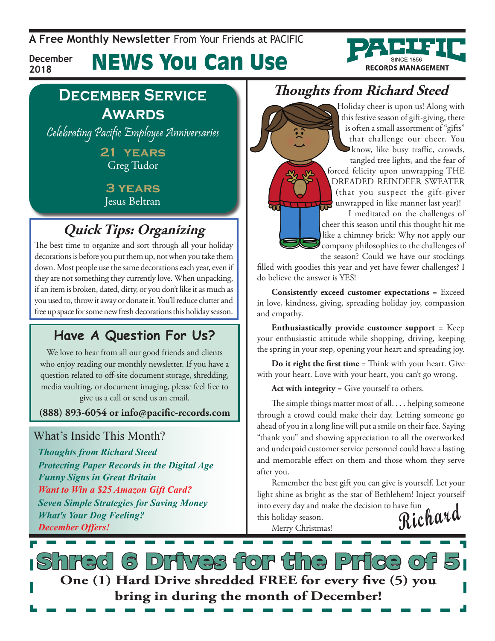**A Free Monthly Newsletter** From Your Friends at Pacific

**RECORDS MANAGEMENT** 

**December 2018**

# News You Can Use

## **December Service Awards**

Celebrating Pacific Employee Anniversaries

**21 years** Greg Tudor

#### **3 years**

Jesus Beltran

## **Quick Tips: Organizing**

The best time to organize and sort through all your holiday decorations is before you put them up, not when you take them down. Most people use the same decorations each year, even if they are not something they currently love. When unpacking, if an item is broken, dated, dirty, or you don't like it as much as you used to, throw it away or donate it. You'll reduce clutter and free up space for some new fresh decorations this holiday season.

#### **Have A Question For Us?**

We love to hear from all our good friends and clients who enjoy reading our monthly newsletter. If you have a question related to off-site document storage, shredding, media vaulting, or document imaging, please feel free to give us a call or send us an email.

**(888) 893-6054 or info@pacific-records.com**

#### What's Inside This Month?

*Thoughts from Richard Steed Protecting Paper Records in the Digital Age Funny Signs in Great Britain Want to Win a \$25 Amazon Gift Card? Seven Simple Strategies for Saving Money What's Your Dog Feeling? December Offers!*

## **Thoughts from Richard Steed**

Holiday cheer is upon us! Along with this festive season of gift-giving, there is often a small assortment of "gifts" that challenge our cheer. You know, like busy traffic, crowds, tangled tree lights, and the fear of forced felicity upon unwrapping THE DREADED REINDEER SWEATER (that you suspect the gift-giver unwrapped in like manner last year)!

I meditated on the challenges of cheer this season until this thought hit me like a chimney brick: Why not apply our company philosophies to the challenges of the season? Could we have our stockings

filled with goodies this year and yet have fewer challenges? I do believe the answer is YES!

**Consistently exceed customer expectations** = Exceed in love, kindness, giving, spreading holiday joy, compassion and empathy.

**Enthusiastically provide customer support** = Keep your enthusiastic attitude while shopping, driving, keeping the spring in your step, opening your heart and spreading joy.

**Do it right the first time** = Think with your heart. Give with your heart. Love with your heart, you can't go wrong.

**Act with integrity** = Give yourself to others.

The simple things matter most of all. . . . helping someone through a crowd could make their day. Letting someone go ahead of you in a long line will put a smile on their face. Saying "thank you" and showing appreciation to all the overworked and underpaid customer service personnel could have a lasting and memorable effect on them and those whom they serve after you.

**Richard** Remember the best gift you can give is yourself. Let your light shine as bright as the star of Bethlehem! Inject yourself into every day and make the decision to have fun this holiday season.

Merry Christmas!

G Drives for the Price o **One (1) Hard Drive shredded FREE for every five (5) you bring in during the month of December!**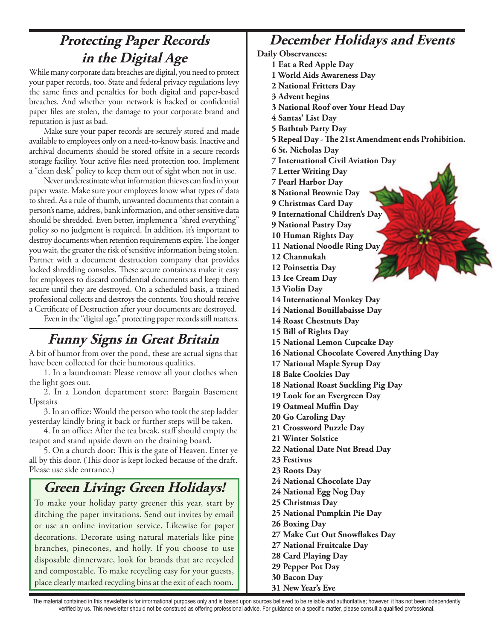#### **Protecting Paper Records in the Digital Age**

While many corporate data breaches are digital, you need to protect your paper records, too. State and federal privacy regulations levy the same fines and penalties for both digital and paper-based breaches. And whether your network is hacked or confidential paper files are stolen, the damage to your corporate brand and reputation is just as bad.

Make sure your paper records are securely stored and made available to employees only on a need-to-know basis. Inactive and archival documents should be stored offsite in a secure records storage facility. Your active files need protection too. Implement a "clean desk" policy to keep them out of sight when not in use.

Never underestimate what information thieves can find in your paper waste. Make sure your employees know what types of data to shred. As a rule of thumb, unwanted documents that contain a person's name, address, bank information, and other sensitive data should be shredded. Even better, implement a "shred everything" policy so no judgment is required. In addition, it's important to destroy documents when retention requirements expire. The longer you wait, the greater the risk of sensitive information being stolen. Partner with a document destruction company that provides locked shredding consoles. These secure containers make it easy for employees to discard confidential documents and keep them secure until they are destroyed. On a scheduled basis, a trained professional collects and destroys the contents. You should receive a Certificate of Destruction after your documents are destroyed.

Even in the "digital age," protecting paper records still matters.

#### **Funny Signs in Great Britain**

A bit of humor from over the pond, these are actual signs that have been collected for their humorous qualities.

1. In a laundromat: Please remove all your clothes when the light goes out.

2. In a London department store: Bargain Basement Upstairs

3. In an office: Would the person who took the step ladder yesterday kindly bring it back or further steps will be taken.

4. In an office: After the tea break, staff should empty the teapot and stand upside down on the draining board.

5. On a church door: This is the gate of Heaven. Enter ye all by this door. (This door is kept locked because of the draft. Please use side entrance.)

#### **Green Living: Green Holidays!**

To make your holiday party greener this year, start by ditching the paper invitations. Send out invites by email or use an online invitation service. Likewise for paper decorations. Decorate using natural materials like pine branches, pinecones, and holly. If you choose to use disposable dinnerware, look for brands that are recycled and compostable. To make recycling easy for your guests, place clearly marked recycling bins at the exit of each room.

#### **December Holidays and Events**

**Daily Observances:**

- **1 Eat a Red Apple Day**
- **1 World Aids Awareness Day**
- **2 National Fritters Day**
- **3 Advent begins**
- **3 National Roof over Your Head Day**
- **4 Santas' List Day**
- **5 Bathtub Party Day**
- **5 Repeal Day The 21st Amendment ends Prohibition.**
- **6 St. Nicholas Day**
- **7 International Civil Aviation Day**
- **7 Letter Writing Day**
- **7 Pearl Harbor Day**
- **8 National Brownie Day**
- **9 Christmas Card Day**
- **9 International Children's Day**
- **9 National Pastry Day**
- **10 Human Rights Day**
- **11 National Noodle Ring Day**
- **12 Channukah**
- **12 Poinsettia Day**
- **13 Ice Cream Day**
- **13 Violin Day**
- **14 International Monkey Day**
- **14 National Bouillabaisse Day**
- **14 Roast Chestnuts Day**
- **15 Bill of Rights Day**
- **15 National Lemon Cupcake Day**
- **16 National Chocolate Covered Anything Day**
- **17 National Maple Syrup Day**
- **18 Bake Cookies Day**
- **18 National Roast Suckling Pig Day**
- **19 Look for an Evergreen Day**
- **19 Oatmeal Muffin Day**
- **20 Go Caroling Day**
- **21 Crossword Puzzle Day**
- **21 Winter Solstice**
- **22 National Date Nut Bread Day**
- **23 Festivus**
- **23 Roots Day**
- **24 National Chocolate Day**
- **24 National Egg Nog Day**
- **25 Christmas Day**
- **25 National Pumpkin Pie Day**
- **26 Boxing Day**
- **27 Make Cut Out Snowflakes Day**
- **27 National Fruitcake Day**
- **28 Card Playing Day**
- **29 Pepper Pot Day**
- **30 Bacon Day**
- **31 New Year's Eve**

The material contained in this newsletter is for informational purposes only and is based upon sources believed to be reliable and authoritative; however, it has not been independently verified by us. This newsletter should not be construed as offering professional advice. For guidance on a specific matter, please consult a qualified professional.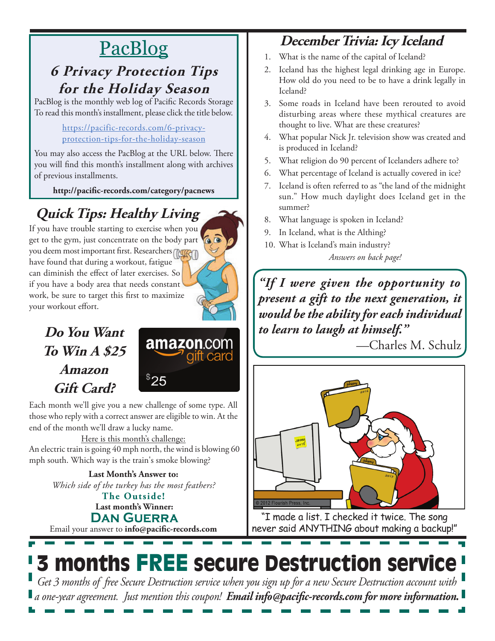# PacBlog

## **6 Privacy Protection Tips for the Holiday Season**

PacBlog is the monthly web log of Pacific Records Storage To read this month's installment, please click the title below.

#### [https://pacific-records.com/6-privacy](https://pacific-records.com/6-privacy-protection-tips-for-the-holiday-season)[protection-tips-for-the-holiday-season](https://pacific-records.com/6-privacy-protection-tips-for-the-holiday-season)

You may also access the PacBlog at the URL below. There you will find this month's installment along with archives of previous installments.

**http://pacific-records.com/category/pacnews**

# **Quick Tips: Healthy Living**

If you have trouble starting to exercise when you get to the gym, just concentrate on the body part  $\bigcirc$ you deem most important first. Researchers have found that during a workout, fatigue can diminish the effect of later exercises. So if you have a body area that needs constant work, be sure to target this first to maximize your workout effort.

### **Do You Want To Win A \$25 Amazon Gift Card?**



Each month we'll give you a new challenge of some type. All those who reply with a correct answer are eligible to win. At the end of the month we'll draw a lucky name.

Here is this month's challenge: An electric train is going 40 mph north, the wind is blowing 60 mph south. Which way is the train's smoke blowing?

**The Outside! Last Month's Answer to:**  *Which side of the turkey has the most feathers?*

**Last month's Winner: Dan Guerra**

Email your answer to **info@pacific-records.com**

## **December Trivia: Icy Iceland**

- 1. What is the name of the capital of Iceland?
- 2. Iceland has the highest legal drinking age in Europe. How old do you need to be to have a drink legally in Iceland?
- 3. Some roads in Iceland have been rerouted to avoid disturbing areas where these mythical creatures are thought to live. What are these creatures?
- 4. What popular Nick Jr. television show was created and is produced in Iceland?
- 5. What religion do 90 percent of Icelanders adhere to?
- 6. What percentage of Iceland is actually covered in ice?
- 7. Iceland is often referred to as "the land of the midnight sun." How much daylight does Iceland get in the summer?
- 8. What language is spoken in Iceland?
- 9. In Iceland, what is the Althing?
- 10. What is Iceland's main industry? *Answers on back page!*

*"If I were given the opportunity to present a gift to the next generation, it would be the ability for each individual to learn to laugh at himself."* 

—Charles M. Schulz



"I made a list. I checked it twice. The song never said ANYTHING about making a backup!"

## 3 months FREE secure Destruction service *Get 3 months of free Secure Destruction service when you sign up for a new Secure Destruction account with*

*a one-year agreement. Just mention this coupon! Email info@pacific-records.com for more information.*